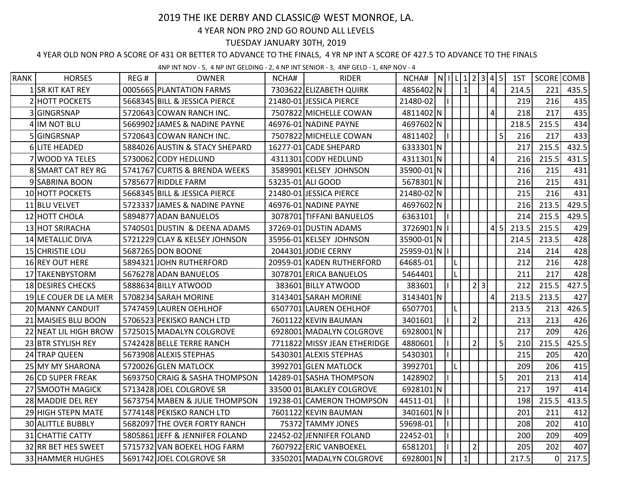## 2019 THE IKE DERBY AND CLASSIC@ WEST MONROE, LA.

## 4 YEAR NON PRO 2ND GO ROUND ALL LEVELS

## TUESDAY JANUARY 30TH, 2019

## 4 YEAR OLD NON PRO A SCORE OF 431 OR BETTER TO ADVANCE TO THE FINALS, 4 YR NP INT A SCORE OF 427.5 TO ADVANCE TO THE FINALS

4NP INT NOV - 5, 4 NP INT GELDING - 2, 4 NP INT SENIOR - 3, 4NP GELD - 1, 4NP NOV - 4

| <b>RANK</b> | <b>HORSES</b>            | REG# | <b>OWNER</b>                   | NCHA# | <b>RIDER</b>                 | NCHA#         | $\vert N \vert$   L 1 2 3 4 5 |                |     |                 |   | 1ST   | SCORE COMB |       |
|-------------|--------------------------|------|--------------------------------|-------|------------------------------|---------------|-------------------------------|----------------|-----|-----------------|---|-------|------------|-------|
|             | 1 SR KIT KAT REY         |      | 0005665 PLANTATION FARMS       |       | 7303622 ELIZABETH QUIRK      | 4856402 N     |                               | $\mathbf{1}$   |     | $\overline{4}$  |   | 214.5 | 221        | 435.5 |
|             | 2 HOTT POCKETS           |      | 5668345 BILL & JESSICA PIERCE  |       | 21480-01 JESSICA PIERCE      | 21480-02      |                               |                |     |                 |   | 219   | 216        | 435   |
|             | 3 GINGRSNAP              |      | 5720643 COWAN RANCH INC.       |       | 7507822 MICHELLE COWAN       | 4811402N      |                               |                |     | $\vert 4 \vert$ |   | 218   | 217        | 435   |
|             | 4 IM NOT BLU             |      | 5669902 JAMES & NADINE PAYNE   |       | 46976-01 NADINE PAYNE        | 4697602 N     |                               |                |     |                 |   | 218.5 | 215.5      | 434   |
|             | 5 GINGRSNAP              |      | 5720643 COWAN RANCH INC.       |       | 7507822 MICHELLE COWAN       | 4811402       |                               |                |     |                 | 5 | 216   | 217        | 433   |
|             | 6 LITE HEADED            |      | 5884026 AUSTIN & STACY SHEPARD |       | 16277-01 CADE SHEPARD        | 6333301 N     |                               |                |     |                 |   | 217   | 215.5      | 432.5 |
|             | 7 WOOD YA TELES          |      | 5730062 CODY HEDLUND           |       | 4311301 CODY HEDLUND         | 4311301 N     |                               |                |     | $\vert 4 \vert$ |   | 216   | 215.5      | 431.5 |
|             | 8 SMART CAT REY RG       |      | 5741767 CURTIS & BRENDA WEEKS  |       | 3589901 KELSEY JOHNSON       | 35900-01 N    |                               |                |     |                 |   | 216   | 215        | 431   |
|             | 9 SABRINA BOON           |      | 5785677 RIDDLE FARM            |       | 53235-01 ALI GOOD            | 5678301 N     |                               |                |     |                 |   | 216   | 215        | 431   |
|             | 10 HOTT POCKETS          |      | 5668345 BILL & JESSICA PIERCE  |       | 21480-01 JESSICA PIERCE      | 21480-02 N    |                               |                |     |                 |   | 215   | 216        | 431   |
|             | 11 BLU VELVET            |      | 5723337 JAMES & NADINE PAYNE   |       | 46976-01 NADINE PAYNE        | 4697602 N     |                               |                |     |                 |   | 216   | 213.5      | 429.5 |
|             | 12 HOTT CHOLA            |      | 5894877 ADAN BANUELOS          |       | 3078701 TIFFANI BANUELOS     | 6363101       |                               |                |     |                 |   | 214   | 215.5      | 429.5 |
|             | 13 HOT SRIRACHA          |      | 5740501 DUSTIN & DEENA ADAMS   |       | 37269-01 DUSTIN ADAMS        | 3726901 N   I |                               |                |     | 4 5             |   | 213.5 | 215.5      | 429   |
|             | 14 METALLIC DIVA         |      | 5721229 CLAY & KELSEY JOHNSON  |       | 35956-01 KELSEY JOHNSON      | 35900-01 N    |                               |                |     |                 |   | 214.5 | 213.5      | 428   |
|             | 15 CHRISTIE LOU          |      | 5687265 DON BOONE              |       | 2044301 JODIE CERNY          | 25959-01 N    |                               |                |     |                 |   | 214   | 214        | 428   |
|             | 16 REY OUT HERE          |      | 5894321 JOHN RUTHERFORD        |       | 20959-01 KADEN RUTHERFORD    | 64685-01      |                               |                |     |                 |   | 212   | 216        | 428   |
|             | 17 TAKENBYSTORM          |      | 5676278 ADAN BANUELOS          |       | 3078701 ERICA BANUELOS       | 5464401       |                               |                |     |                 |   | 211   | 217        | 428   |
|             | 18 DESIRES CHECKS        |      | 5888634 BILLY ATWOOD           |       | 383601 BILLY ATWOOD          | 383601        |                               |                | 2 3 |                 |   | 212   | 215.5      | 427.5 |
|             | 19 LE COUER DE LA MER    |      | 5708234 SARAH MORINE           |       | 3143401 SARAH MORINE         | 3143401 N     |                               |                |     | $\vert 4 \vert$ |   | 213.5 | 213.5      | 427   |
|             | 20 MANNY CANDUIT         |      | 5747459 LAUREN OEHLHOF         |       | 6507701 LAUREN OEHLHOF       | 6507701       |                               |                |     |                 |   | 213.5 | 213        | 426.5 |
|             | 21 MAISIES BLU BOON      |      | 5706523 PEKISKO RANCH LTD      |       | 7601122 KEVIN BAUMAN         | 3401601       |                               | $\overline{2}$ |     |                 |   | 213   | 213        | 426   |
|             | 22 NEAT LIL HIGH BROW    |      | 5725015 MADALYN COLGROVE       |       | 6928001 MADALYN COLGROVE     | 6928001 N     |                               |                |     |                 |   | 217   | 209        | 426   |
|             | 23 BTR STYLISH REY       |      | 5742428 BELLE TERRE RANCH      |       | 7711822 MISSY JEAN ETHERIDGE | 4880601       |                               | $\overline{2}$ |     |                 | 5 | 210   | 215.5      | 425.5 |
|             | 24 TRAP QUEEN            |      | 5673908 ALEXIS STEPHAS         |       | 5430301 ALEXIS STEPHAS       | 5430301       | II.                           |                |     |                 |   | 215   | 205        | 420   |
|             | 25 MY MY SHARONA         |      | 5720026 GLEN MATLOCK           |       | 3992701 GLEN MATLOCK         | 3992701       |                               |                |     |                 |   | 209   | 206        | 415   |
|             | 26 CD SUPER FREAK        |      | 5693750 CRAIG & SASHA THOMPSON |       | 14289-01 SASHA THOMPSON      | 1428902       |                               |                |     |                 | 5 | 201   | 213        | 414   |
|             | 27 SMOOTH MAGICK         |      | 5713428 JOEL COLGROVE SR       |       | 33500 01 BLAKLEY COLGROVE    | 6928101 N     |                               |                |     |                 |   | 217   | 197        | 414   |
|             | 28 MADDIE DEL REY        |      | 5673754 MABEN & JULIE THOMPSON |       | 19238-01 CAMERON THOMPSON    | 44511-01      |                               |                |     |                 |   | 198   | 215.5      | 413.5 |
|             | 29 HIGH STEPN MATE       |      | 5774148 PEKISKO RANCH LTD      |       | 7601122 KEVIN BAUMAN         | 3401601 N   I |                               |                |     |                 |   | 201   | 211        | 412   |
|             | <b>30 ALITTLE BUBBLY</b> |      | 5682097 THE OVER FORTY RANCH   |       | 75372 TAMMY JONES            | 59698-01      |                               |                |     |                 |   | 208   | 202        | 410   |
|             | 31 CHATTIE CATTY         |      | 5805861 JEFF & JENNIFER FOLAND |       | 22452-02 JENNIFER FOLAND     | 22452-01      |                               |                |     |                 |   | 200   | 209        | 409   |
|             | 32 RR BET HES SWEET      |      | 5715732 VAN BOEKEL HOG FARM    |       | 7607922 ERIC VANBOEKEL       | 6581201       |                               | $\overline{2}$ |     |                 |   | 205   | 202        | 407   |
|             | 33 HAMMER HUGHES         |      | 5691742 JOEL COLGROVE SR       |       | 3350201 MADALYN COLGROVE     | 6928001 N     |                               | $\mathbf{1}$   |     |                 |   | 217.5 | 0          | 217.5 |